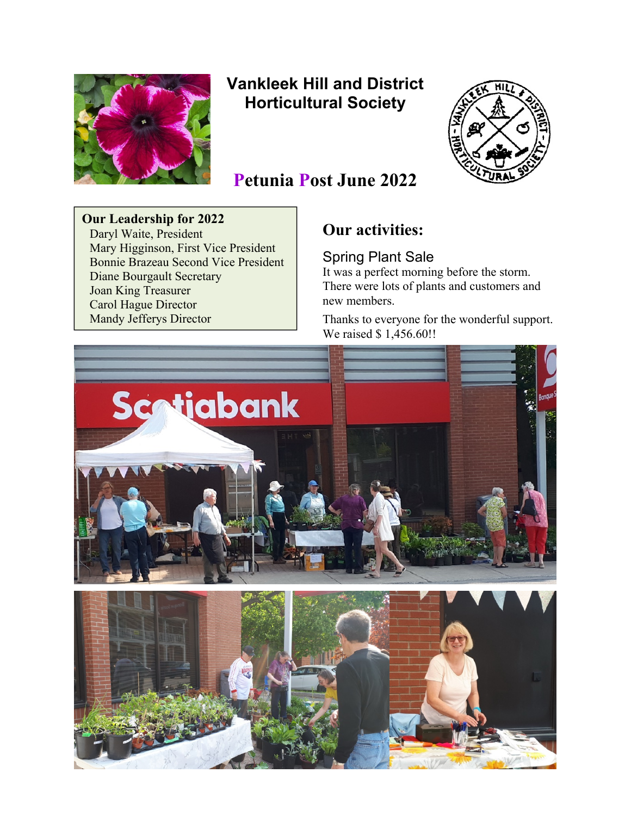

# **Vankleek Hill and District Horticultural Society**



# **Petunia Post June 2022**

**Our Leadership for 2022**  Daryl Waite, President Mary Higginson, First Vice President Bonnie Brazeau Second Vice President Diane Bourgault Secretary Joan King Treasurer Carol Hague Director Mandy Jefferys Director

# **Our activities:**

Spring Plant Sale

It was a perfect morning before the storm. There were lots of plants and customers and new members.

Thanks to everyone for the wonderful support. We raised \$1,456.60!!

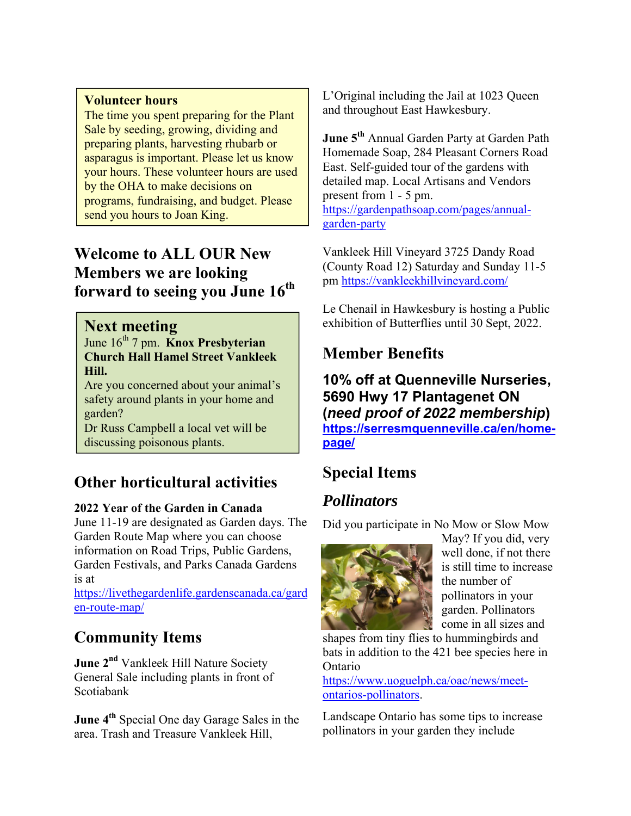#### **Volunteer hours**

The time you spent preparing for the Plant Sale by seeding, growing, dividing and preparing plants, harvesting rhubarb or asparagus is important. Please let us know your hours. These volunteer hours are used by the OHA to make decisions on programs, fundraising, and budget. Please send you hours to Joan King.

# **Welcome to ALL OUR New Members we are looking forward to seeing you June 16th**

#### **Next meeting**

June 16th 7 pm. **Knox Presbyterian Church Hall Hamel Street Vankleek Hill.**

Are you concerned about your animal's safety around plants in your home and garden?

Dr Russ Campbell a local vet will be discussing poisonous plants.

# **Other horticultural activities**

#### **2022 Year of the Garden in Canada**

June 11-19 are designated as Garden days. The Garden Route Map where you can choose information on Road Trips, Public Gardens, Garden Festivals, and Parks Canada Gardens is at

https://livethegardenlife.gardenscanada.ca/gard en-route-map/

## **Community Items**

**June 2<sup>nd</sup>** Vankleek Hill Nature Society General Sale including plants in front of Scotiabank

**June 4<sup>th</sup>** Special One day Garage Sales in the area. Trash and Treasure Vankleek Hill,

L'Original including the Jail at 1023 Queen and throughout East Hawkesbury.

**June 5th** Annual Garden Party at Garden Path Homemade Soap, 284 Pleasant Corners Road East. Self-guided tour of the gardens with detailed map. Local Artisans and Vendors present from 1 - 5 pm. https://gardenpathsoap.com/pages/annualgarden-party

Vankleek Hill Vineyard 3725 Dandy Road (County Road 12) Saturday and Sunday 11-5 pm https://vankleekhillvineyard.com/

Le Chenail in Hawkesbury is hosting a Public exhibition of Butterflies until 30 Sept, 2022.

## **Member Benefits**

**10% off at Quenneville Nurseries, 5690 Hwy 17 Plantagenet ON (***need proof of 2022 membership***) https://serresmquenneville.ca/en/homepage/**

# **Special Items**

## *Pollinators*

Did you participate in No Mow or Slow Mow



May? If you did, very well done, if not there is still time to increase the number of pollinators in your garden. Pollinators come in all sizes and

shapes from tiny flies to hummingbirds and bats in addition to the 421 bee species here in Ontario

https://www.uoguelph.ca/oac/news/meetontarios-pollinators.

Landscape Ontario has some tips to increase pollinators in your garden they include